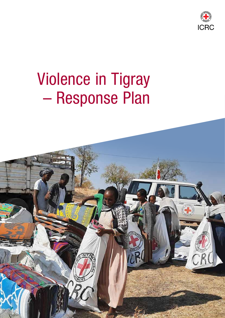

# Violence in Tigray – Response Plan

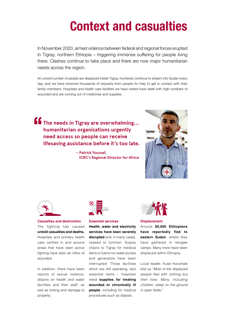### Context and casualties

In November 2020, armed violence between federal and regional forces erupted in Tigray, northern Ethiopia – triggering immense suffering for people living there. Clashes continue to take place and there are now major humanitarian needs across the region.

An untold number of people are displaced inside Tigray, hundreds continue to stream into Sudan every day, and we have received thousands of requests from people for help to get in contact with their family members. Hospitals and health care facilities we have visited have dealt with high numbers of wounded and are running out of medicines and supplies.

**The needs in Tigray are overwhelming… humanitarian organizations urgently need access so people can receive lifesaving assistance before it's too late.**  $\frac{1}{2}$ 

> **– Patrick Youssef, ICRC's Regional Director for Africa**





**Casualties and destruction** The fighting has caused **untold casualties and deaths.**  Hospitals and primary health care centres in and around areas that have seen active fighting have seen an influx of wounded.

In addition, there have been reports of sexual violence, attacks on health and water facilities and their staff, as well as looting and damage to property.



#### **Essential services**

**Health, water and electricity services have been severely disrupted** and, in many cases, ceased to function. Supply chains to Tigray for medical items or fuel to run water pumps and generators have been interrupted. Those facilities which are still operating, lack essential items – hospitals need **supplies for treating wounded or chronically ill people**, including for medical procedures such as dialysis.



**Displacement** 

Around **60,000 Ethiopians have reportedly fled to eastern Sudan**, where they have gathered in refugee camps. Many more have been displaced within Ethiopia.

Local leader, Kuse Hurumale told us "*Most of the displaced*  people fled with nothing but their lives. Many, including children, sleep on the ground in open fields."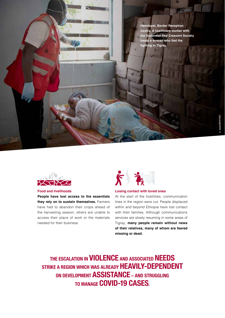**Hamdayet, Border Reception Centre. A healthcare worker with the Sudanese Red Crescent Society treats a woman who fled the fighting in Tigray.** 



**Food and livelihoods** 

**People have lost access to the essentials they rely on to sustain themselves.** Farmers have had to abandon their crops ahead of the harvesting season; others are unable to access their place of work or the materials needed for their business.



#### **Losing contact with loved ones**

At the start of the hostilities, communication lines in the region were cut. People displaced within and beyond Ethiopia have lost contact with their families. Although communications services are slowly resuming in some areas of Tigray, **many people remain without news of their relatives, many of whom are feared missing or dead.** 

THE ESCALATION IN **VIOLENCE** AND ASSOCIATED **NEEDS** STRIKE A REGION WHICH WAS ALREADY HEAVILY-DEPENDENT ON DEVELOPMENT ASSISTANCE – AND STRUGGLING TO MANAGE COVID-19 CASES.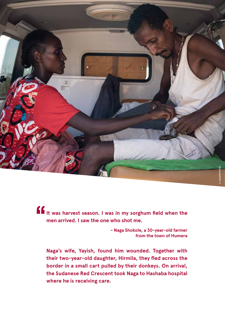

**It was harvest season. I was in my sorghum field when the men arrived. I saw the one who shot me.**  $\frac{1}{2}$ 

**– Naga Shokole, a 30-year-old farmer from the town of Humera** 

**Naga's wife, Yayish, found him wounded. Together with their two-year-old daughter, Hirmila, they fled across the border in a small cart pulled by their donkeys. On arrival, the Sudanese Red Crescent took Naga to Hashaba hospital where he is receiving care.**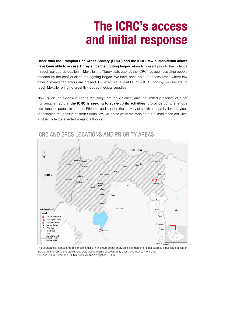## The ICRC's access and initial response

**Other than the Ethiopian Red Cross Society (ERCS) and the ICRC, few humanitarian actors have been able to access Tigray since the fighting began.** Already present prior to the violence through our sub-delegation in Mekelle, the Tigray state capital, the ICRC has been assisting people affected by the conflict since the fighting began. We have been able to access areas where few other humanitarian actors are present. For example, a joint ERCS – ICRC convoy was the first to reach Mekelle, bringing urgently-needed medical supplies.

Now, given the extensive needs resulting from the violence, and the limited presence of other humanitarian actors, **the ICRC is seeking to scale-up its activities** to provide comprehensive assistance to people in northern Ethiopia, and support the delivery of health and family-links services to Ethiopian refugees in eastern Sudan. We will do so while maintaining our humanitarian activities in other violence-affected areas of Ethiopia.



### ICRC AND ERCS LOCATIONS AND PRIORITY AREAS

The boundaries, names and designations used in this map do not imply official endorsement, nor express a political opinion on the part of the ICRC, and are without prejudice to claims of sovereignty over the territories mentioned. Sources: ICRC Referencial, ICRC Addis Ababa delegation, ERCS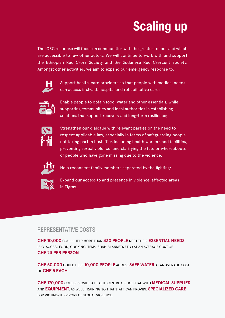# Scaling up

The ICRC response will focus on communities with the greatest needs and which are accessible to few other actors. We will continue to work with and support the Ethiopian Red Cross Society and the Sudanese Red Crescent Society. Amongst other activities, we aim to expand our emergency response to:



Support health-care providers so that people with medical needs can access first-aid, hospital and rehabilitative care;



Enable people to obtain food, water and other essentials, while supporting communities and local authorities in establishing solutions that support recovery and long-term resilience;



Strengthen our dialogue with relevant parties on the need to respect applicable law, especially in terms of safeguarding people not taking part in hostilities including health workers and facilities, preventing sexual violence, and clarifying the fate or whereabouts of people who have gone missing due to the violence;



Help reconnect family members separated by the fighting;



Expand our access to and presence in violence-affected areas in Tigray.

### REPRESENTATIVE COSTS:

**CHF 10,000** COULD HELP MORE THAN **430 PEOPLE** MEET THEIR **ESSENTIAL NEEDS** (E.G. ACCESS FOOD, COOKING ITEMS, SOAP, BLANKETS ETC.) AT AN AVERAGE COST OF **CHF 23 PER PERSON**.

**CHF 50,000** COULD HELP **10,000 PEOPLE** ACCESS **SAFE WATER** AT AN AVERAGE COST OF **CHF 5 EACH**.

**CHF 170,000** COULD PROVIDE A HEALTH CENTRE OR HOSPITAL WITH **MEDICAL SUPPLIES** AND **EQUIPMENT**, AS WELL TRAINING SO THAT STAFF CAN PROVIDE **SPECIALIZED CARE** FOR VICTIMS/SURVIVORS OF SEXUAL VIOLENCE.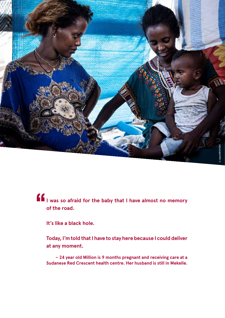

### **I was so afraid for the baby that I have almost no memory of the road.**   $\frac{1}{2}$

**It's like a black hole.**

**Today, I'm told that I have to stay here because I could deliver at any moment.**

**– 24 year old Million is 9 months pregnant and receiving care at a Sudanese Red Crescent health centre. Her husband is still in Mekelle.**